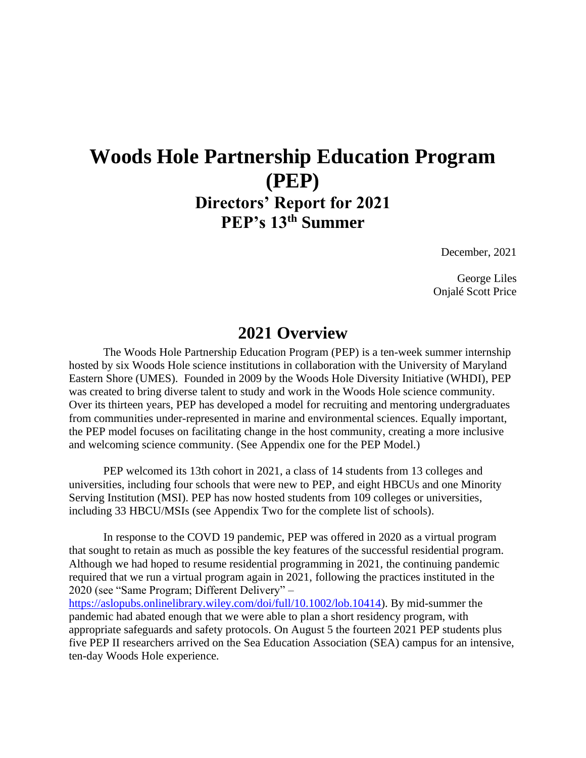## **Woods Hole Partnership Education Program (PEP) Directors' Report for 2021 PEP's 13th Summer**

December, 2021

George Liles Onjalé Scott Price

### **2021 Overview**

The Woods Hole Partnership Education Program (PEP) is a ten-week summer internship hosted by six Woods Hole science institutions in collaboration with the University of Maryland Eastern Shore (UMES). Founded in 2009 by the Woods Hole Diversity Initiative (WHDI), PEP was created to bring diverse talent to study and work in the Woods Hole science community. Over its thirteen years, PEP has developed a model for recruiting and mentoring undergraduates from communities under-represented in marine and environmental sciences. Equally important, the PEP model focuses on facilitating change in the host community, creating a more inclusive and welcoming science community. (See Appendix one for the PEP Model.)

PEP welcomed its 13th cohort in 2021, a class of 14 students from 13 colleges and universities, including four schools that were new to PEP, and eight HBCUs and one Minority Serving Institution (MSI). PEP has now hosted students from 109 colleges or universities, including 33 HBCU/MSIs (see Appendix Two for the complete list of schools).

In response to the COVD 19 pandemic, PEP was offered in 2020 as a virtual program that sought to retain as much as possible the key features of the successful residential program. Although we had hoped to resume residential programming in 2021, the continuing pandemic required that we run a virtual program again in 2021, following the practices instituted in the 2020 (see "Same Program; Different Delivery" –

[https://aslopubs.onlinelibrary.wiley.com/doi/full/10.1002/lob.10414\)](https://aslopubs.onlinelibrary.wiley.com/doi/full/10.1002/lob.10414). By mid-summer the pandemic had abated enough that we were able to plan a short residency program, with appropriate safeguards and safety protocols. On August 5 the fourteen 2021 PEP students plus five PEP II researchers arrived on the Sea Education Association (SEA) campus for an intensive, ten-day Woods Hole experience.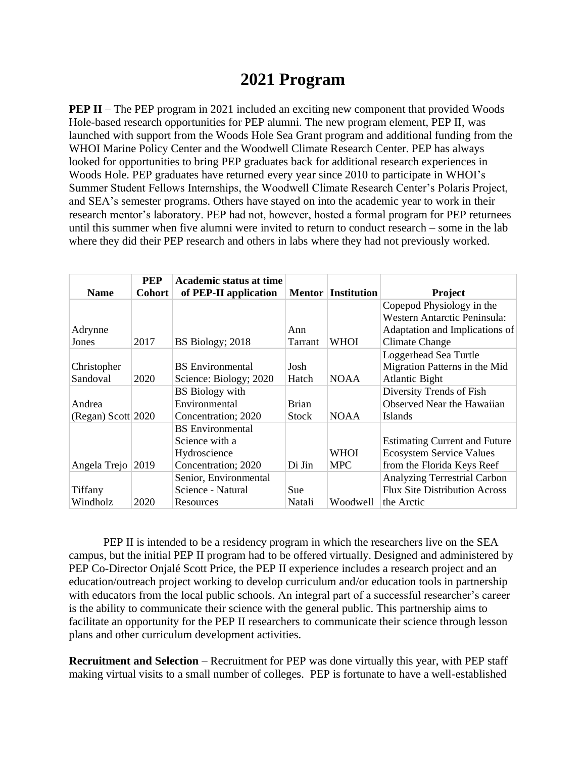## **2021 Program**

**PEP II** – The PEP program in 2021 included an exciting new component that provided Woods Hole-based research opportunities for PEP alumni. The new program element, PEP II, was launched with support from the Woods Hole Sea Grant program and additional funding from the WHOI Marine Policy Center and the Woodwell Climate Research Center. PEP has always looked for opportunities to bring PEP graduates back for additional research experiences in Woods Hole. PEP graduates have returned every year since 2010 to participate in WHOI's Summer Student Fellows Internships, the Woodwell Climate Research Center's Polaris Project, and SEA's semester programs. Others have stayed on into the academic year to work in their research mentor's laboratory. PEP had not, however, hosted a formal program for PEP returnees until this summer when five alumni were invited to return to conduct research – some in the lab where they did their PEP research and others in labs where they had not previously worked.

| <b>Name</b>        | <b>PEP</b><br><b>Cohort</b> | Academic status at time<br>of PEP-II application |              | <b>Mentor Institution</b> | <b>Project</b>                       |
|--------------------|-----------------------------|--------------------------------------------------|--------------|---------------------------|--------------------------------------|
|                    |                             |                                                  |              |                           | Copepod Physiology in the            |
|                    |                             |                                                  |              |                           | Western Antarctic Peninsula:         |
| Adrynne            |                             |                                                  | Ann          |                           | Adaptation and Implications of       |
| Jones              | 2017                        | BS Biology; 2018                                 | Tarrant      | WHOI                      | <b>Climate Change</b>                |
|                    |                             |                                                  |              |                           | Loggerhead Sea Turtle                |
| Christopher        |                             | <b>BS</b> Environmental                          | Josh         |                           | Migration Patterns in the Mid        |
| Sandoval           | 2020                        | Science: Biology; 2020                           | Hatch        | <b>NOAA</b>               | <b>Atlantic Bight</b>                |
|                    |                             | <b>BS</b> Biology with                           |              |                           | Diversity Trends of Fish             |
| Andrea             |                             | Environmental                                    | <b>Brian</b> |                           | Observed Near the Hawaiian           |
| (Regan) Scott 2020 |                             | Concentration; 2020                              | <b>Stock</b> | <b>NOAA</b>               | Islands                              |
|                    |                             | <b>BS</b> Environmental                          |              |                           |                                      |
|                    |                             | Science with a                                   |              |                           | <b>Estimating Current and Future</b> |
|                    |                             | Hydroscience                                     |              | <b>WHOI</b>               | <b>Ecosystem Service Values</b>      |
| Angela Trejo 2019  |                             | Concentration; 2020                              | Di Jin       | <b>MPC</b>                | from the Florida Keys Reef           |
|                    |                             | Senior, Environmental                            |              |                           | <b>Analyzing Terrestrial Carbon</b>  |
| Tiffany            |                             | Science - Natural                                | <b>Sue</b>   |                           | <b>Flux Site Distribution Across</b> |
| Windholz           | 2020                        | Resources                                        | Natali       | Woodwell                  | the Arctic                           |

PEP II is intended to be a residency program in which the researchers live on the SEA campus, but the initial PEP II program had to be offered virtually. Designed and administered by PEP Co-Director Onjalé Scott Price, the PEP II experience includes a research project and an education/outreach project working to develop curriculum and/or education tools in partnership with educators from the local public schools. An integral part of a successful researcher's career is the ability to communicate their science with the general public. This partnership aims to facilitate an opportunity for the PEP II researchers to communicate their science through lesson plans and other curriculum development activities.

**Recruitment and Selection** – Recruitment for PEP was done virtually this year, with PEP staff making virtual visits to a small number of colleges. PEP is fortunate to have a well-established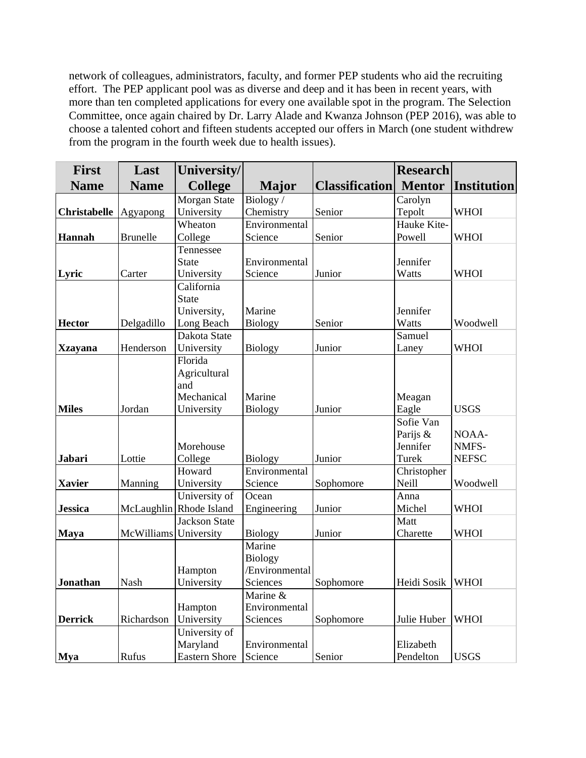network of colleagues, administrators, faculty, and former PEP students who aid the recruiting effort. The PEP applicant pool was as diverse and deep and it has been in recent years, with more than ten completed applications for every one available spot in the program. The Selection Committee, once again chaired by Dr. Larry Alade and Kwanza Johnson (PEP 2016), was able to choose a talented cohort and fifteen students accepted our offers in March (one student withdrew from the program in the fourth week due to health issues).

| <b>First</b>        | Last                  | University/             |                |                       | <b>Research</b>      |                    |
|---------------------|-----------------------|-------------------------|----------------|-----------------------|----------------------|--------------------|
| <b>Name</b>         | <b>Name</b>           | <b>College</b>          | <b>Major</b>   | <b>Classification</b> | <b>Mentor</b>        | <b>Institution</b> |
|                     |                       | Morgan State            | Biology/       |                       | Carolyn              |                    |
| <b>Christabelle</b> | Agyapong              | University              | Chemistry      | Senior                | Tepolt               | <b>WHOI</b>        |
|                     |                       | Wheaton                 | Environmental  |                       | Hauke Kite-          |                    |
| <b>Hannah</b>       | <b>Brunelle</b>       | College                 | Science        | Senior                | Powell               | <b>WHOI</b>        |
|                     |                       | Tennessee               |                |                       |                      |                    |
|                     |                       | <b>State</b>            | Environmental  |                       | Jennifer             |                    |
| Lyric               | Carter                | University              | Science        | Junior                | Watts                | <b>WHOI</b>        |
|                     |                       | California              |                |                       |                      |                    |
|                     |                       | <b>State</b>            |                |                       |                      |                    |
|                     |                       | University,             | Marine         |                       | Jennifer             |                    |
| <b>Hector</b>       | Delgadillo            | Long Beach              | <b>Biology</b> | Senior                | Watts                | Woodwell           |
|                     |                       | Dakota State            |                |                       | Samuel               |                    |
| <b>Xzayana</b>      | Henderson             | University              | <b>Biology</b> | Junior                | Laney                | <b>WHOI</b>        |
|                     |                       | Florida                 |                |                       |                      |                    |
|                     |                       | Agricultural            |                |                       |                      |                    |
|                     |                       | and                     |                |                       |                      |                    |
| <b>Miles</b>        |                       | Mechanical              | Marine         | Junior                | Meagan               | <b>USGS</b>        |
|                     | Jordan                | University              | <b>Biology</b> |                       | Eagle<br>Sofie Van   |                    |
|                     |                       |                         |                |                       |                      | NOAA-              |
|                     |                       | Morehouse               |                |                       | Parijs &<br>Jennifer | NMFS-              |
| Jabari              | Lottie                | College                 | <b>Biology</b> | Junior                | Turek                | <b>NEFSC</b>       |
|                     |                       | Howard                  | Environmental  |                       | Christopher          |                    |
| <b>Xavier</b>       | Manning               | University              | Science        | Sophomore             | Neill                | Woodwell           |
|                     |                       | University of           | Ocean          |                       | Anna                 |                    |
| <b>Jessica</b>      |                       | McLaughlin Rhode Island | Engineering    | Junior                | Michel               | <b>WHOI</b>        |
|                     |                       | <b>Jackson State</b>    |                |                       | Matt                 |                    |
| <b>Maya</b>         | McWilliams University |                         | <b>Biology</b> | Junior                | Charette             | <b>WHOI</b>        |
|                     |                       |                         | Marine         |                       |                      |                    |
|                     |                       |                         | <b>Biology</b> |                       |                      |                    |
|                     |                       | Hampton                 | /Environmental |                       |                      |                    |
| <b>Jonathan</b>     | Nash                  | University              | Sciences       | Sophomore             | Heidi Sosik          | <b>WHOI</b>        |
|                     |                       |                         | Marine &       |                       |                      |                    |
|                     |                       | Hampton                 | Environmental  |                       |                      |                    |
| <b>Derrick</b>      | Richardson            | University              | Sciences       | Sophomore             | Julie Huber          | <b>WHOI</b>        |
|                     |                       | University of           |                |                       |                      |                    |
|                     |                       | Maryland                | Environmental  |                       | Elizabeth            |                    |
| <b>Mya</b>          | Rufus                 | <b>Eastern Shore</b>    | Science        | Senior                | Pendelton            | <b>USGS</b>        |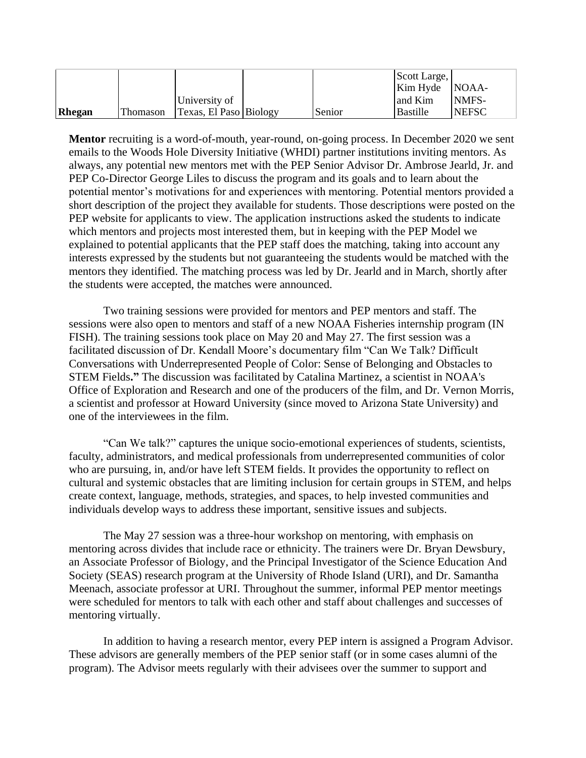|        |          |                        |        | Scott Large,                       |              |
|--------|----------|------------------------|--------|------------------------------------|--------------|
|        |          |                        |        | $\overline{\text{Kim Hyde}}$ NOAA- |              |
|        |          | University of          |        | and Kim                            | NMFS-        |
| Rhegan | Thomason | Texas, El Paso Biology | Senior | Bastille                           | <b>NEFSC</b> |

**Mentor** recruiting is a word-of-mouth, year-round, on-going process. In December 2020 we sent emails to the Woods Hole Diversity Initiative (WHDI) partner institutions inviting mentors. As always, any potential new mentors met with the PEP Senior Advisor Dr. Ambrose Jearld, Jr. and PEP Co-Director George Liles to discuss the program and its goals and to learn about the potential mentor's motivations for and experiences with mentoring. Potential mentors provided a short description of the project they available for students. Those descriptions were posted on the PEP website for applicants to view. The application instructions asked the students to indicate which mentors and projects most interested them, but in keeping with the PEP Model we explained to potential applicants that the PEP staff does the matching, taking into account any interests expressed by the students but not guaranteeing the students would be matched with the mentors they identified. The matching process was led by Dr. Jearld and in March, shortly after the students were accepted, the matches were announced.

Two training sessions were provided for mentors and PEP mentors and staff. The sessions were also open to mentors and staff of a new NOAA Fisheries internship program (IN FISH). The training sessions took place on May 20 and May 27. The first session was a facilitated discussion of Dr. Kendall Moore's documentary film "Can We Talk? Difficult Conversations with Underrepresented People of Color: Sense of Belonging and Obstacles to STEM Fields**."** The discussion was facilitated by Catalina Martinez, a scientist in NOAA's Office of Exploration and Research and one of the producers of the film, and Dr. Vernon Morris, a scientist and professor at Howard University (since moved to Arizona State University) and one of the interviewees in the film.

"Can We talk?" captures the unique socio-emotional experiences of students, scientists, faculty, administrators, and medical professionals from underrepresented communities of color who are pursuing, in, and/or have left STEM fields. It provides the opportunity to reflect on cultural and systemic obstacles that are limiting inclusion for certain groups in STEM, and helps create context, language, methods, strategies, and spaces, to help invested communities and individuals develop ways to address these important, sensitive issues and subjects.

The May 27 session was a three-hour workshop on mentoring, with emphasis on mentoring across divides that include race or ethnicity. The trainers were Dr. Bryan Dewsbury, an Associate Professor of Biology, and the Principal Investigator of the Science Education And Society (SEAS) research program at the University of Rhode Island (URI), and Dr. Samantha Meenach, associate professor at URI. Throughout the summer, informal PEP mentor meetings were scheduled for mentors to talk with each other and staff about challenges and successes of mentoring virtually.

In addition to having a research mentor, every PEP intern is assigned a Program Advisor. These advisors are generally members of the PEP senior staff (or in some cases alumni of the program). The Advisor meets regularly with their advisees over the summer to support and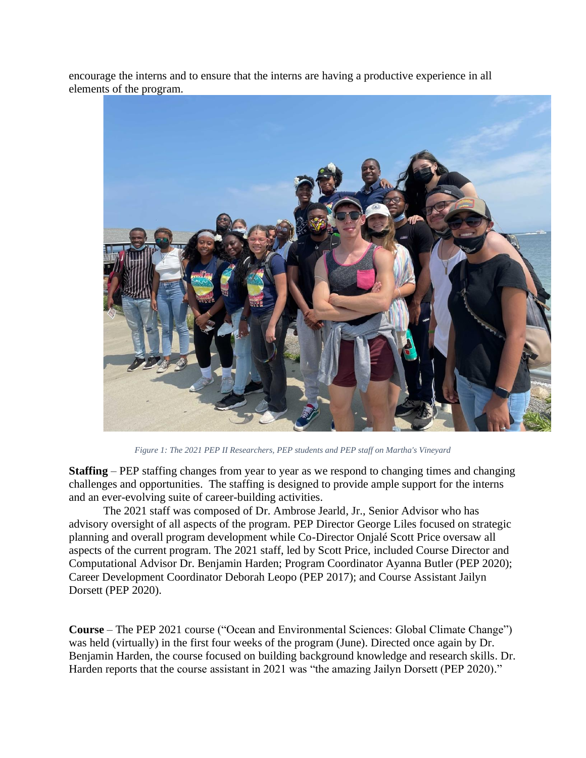encourage the interns and to ensure that the interns are having a productive experience in all elements of the program.



*Figure 1: The 2021 PEP II Researchers, PEP students and PEP staff on Martha's Vineyard*

**Staffing** – PEP staffing changes from year to year as we respond to changing times and changing challenges and opportunities. The staffing is designed to provide ample support for the interns and an ever-evolving suite of career-building activities.

The 2021 staff was composed of Dr. Ambrose Jearld, Jr., Senior Advisor who has advisory oversight of all aspects of the program. PEP Director George Liles focused on strategic planning and overall program development while Co-Director Onjalé Scott Price oversaw all aspects of the current program. The 2021 staff, led by Scott Price, included Course Director and Computational Advisor Dr. Benjamin Harden; Program Coordinator Ayanna Butler (PEP 2020); Career Development Coordinator Deborah Leopo (PEP 2017); and Course Assistant Jailyn Dorsett (PEP 2020).

**Course** – The PEP 2021 course ("Ocean and Environmental Sciences: Global Climate Change") was held (virtually) in the first four weeks of the program (June). Directed once again by Dr. Benjamin Harden, the course focused on building background knowledge and research skills. Dr. Harden reports that the course assistant in 2021 was "the amazing Jailyn Dorsett (PEP 2020)."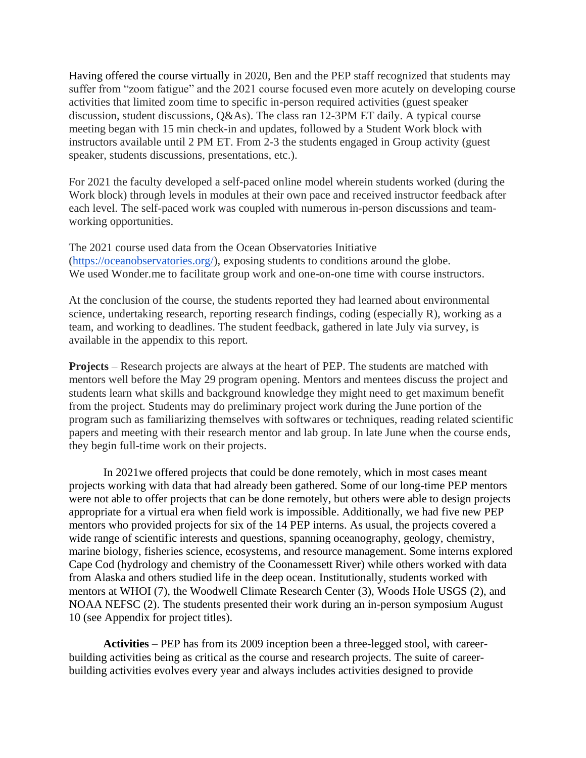Having offered the course virtually in 2020, Ben and the PEP staff recognized that students may suffer from "zoom fatigue" and the 2021 course focused even more acutely on developing course activities that limited zoom time to specific in-person required activities (guest speaker discussion, student discussions, Q&As). The class ran 12-3PM ET daily. A typical course meeting began with 15 min check-in and updates, followed by a Student Work block with instructors available until 2 PM ET. From 2-3 the students engaged in Group activity (guest speaker, students discussions, presentations, etc.).

For 2021 the faculty developed a self-paced online model wherein students worked (during the Work block) through levels in modules at their own pace and received instructor feedback after each level. The self-paced work was coupled with numerous in-person discussions and teamworking opportunities.

The 2021 course used data from the Ocean Observatories Initiative [\(https://oceanobservatories.org/\)](https://oceanobservatories.org/), exposing students to conditions around the globe. We used Wonder.me to facilitate group work and one-on-one time with course instructors.

At the conclusion of the course, the students reported they had learned about environmental science, undertaking research, reporting research findings, coding (especially R), working as a team, and working to deadlines. The student feedback, gathered in late July via survey, is available in the appendix to this report.

**Projects** – Research projects are always at the heart of PEP. The students are matched with mentors well before the May 29 program opening. Mentors and mentees discuss the project and students learn what skills and background knowledge they might need to get maximum benefit from the project. Students may do preliminary project work during the June portion of the program such as familiarizing themselves with softwares or techniques, reading related scientific papers and meeting with their research mentor and lab group. In late June when the course ends, they begin full-time work on their projects.

In 2021we offered projects that could be done remotely, which in most cases meant projects working with data that had already been gathered. Some of our long-time PEP mentors were not able to offer projects that can be done remotely, but others were able to design projects appropriate for a virtual era when field work is impossible. Additionally, we had five new PEP mentors who provided projects for six of the 14 PEP interns. As usual, the projects covered a wide range of scientific interests and questions, spanning oceanography, geology, chemistry, marine biology, fisheries science, ecosystems, and resource management. Some interns explored Cape Cod (hydrology and chemistry of the Coonamessett River) while others worked with data from Alaska and others studied life in the deep ocean. Institutionally, students worked with mentors at WHOI (7), the Woodwell Climate Research Center (3), Woods Hole USGS (2), and NOAA NEFSC (2). The students presented their work during an in-person symposium August 10 (see Appendix for project titles).

**Activities** – PEP has from its 2009 inception been a three-legged stool, with careerbuilding activities being as critical as the course and research projects. The suite of careerbuilding activities evolves every year and always includes activities designed to provide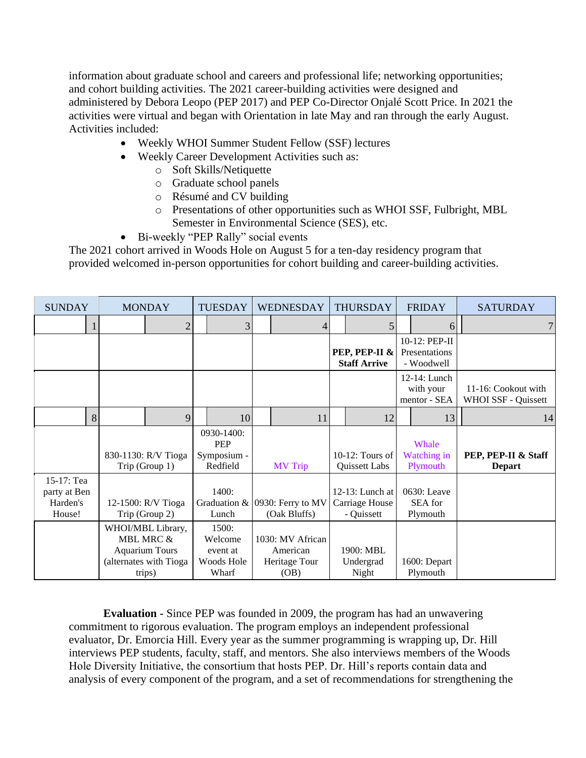information about graduate school and careers and professional life; networking opportunities; and cohort building activities. The 2021 career-building activities were designed and administered by Debora Leopo (PEP 2017) and PEP Co-Director Onjalé Scott Price. In 2021 the activities were virtual and began with Orientation in late May and ran through the early August. Activities included:

- Weekly WHOI Summer Student Fellow (SSF) lectures
- Weekly Career Development Activities such as:
	- o Soft Skills/Netiquette
	- o Graduate school panels
	- o Résumé and CV building
	- o Presentations of other opportunities such as WHOI SSF, Fulbright, MBL Semester in Environmental Science (SES), etc.
- Bi-weekly "PEP Rally" social events

The 2021 cohort arrived in Woods Hole on August 5 for a ten-day residency program that provided welcomed in-person opportunities for cohort building and career-building activities.

| <b>SUNDAY</b>                                    | <b>MONDAY</b>                                                                               | <b>TUESDAY</b>                                      | WEDNESDAY                                             | <b>THURSDAY</b>                                    | <b>FRIDAY</b>                                | <b>SATURDAY</b>                                   |
|--------------------------------------------------|---------------------------------------------------------------------------------------------|-----------------------------------------------------|-------------------------------------------------------|----------------------------------------------------|----------------------------------------------|---------------------------------------------------|
|                                                  | $\overline{2}$                                                                              | 3                                                   | 4                                                     |                                                    | 6                                            | 7 <sup>1</sup>                                    |
|                                                  |                                                                                             |                                                     |                                                       | PEP, PEP-II &<br><b>Staff Arrive</b>               | 10-12: PEP-II<br>Presentations<br>- Woodwell |                                                   |
|                                                  |                                                                                             |                                                     |                                                       |                                                    | $12-14$ : Lunch<br>with your<br>mentor - SEA | 11-16: Cookout with<br><b>WHOI SSF - Quissett</b> |
| 8                                                | 9                                                                                           | 10                                                  | 11                                                    | 12                                                 | 13                                           | 14                                                |
|                                                  | 830-1130: R/V Tioga<br>Trip (Group 1)                                                       | 0930-1400:<br>PEP<br>Symposium -<br>Redfield        | <b>MV</b> Trip                                        | $10-12$ : Tours of<br>Quissett Labs                | Whale<br>Watching in<br>Plymouth             | PEP, PEP-II & Staff<br><b>Depart</b>              |
| 15-17: Tea<br>party at Ben<br>Harden's<br>House! | 12-1500: R/V Tioga<br>Trip (Group 2)                                                        | 1400:<br>Lunch                                      | Graduation & $ 0930$ : Ferry to MV<br>(Oak Bluffs)    | $12-13$ : Lunch at<br>Carriage House<br>- Quissett | 0630: Leave<br>SEA for<br>Plymouth           |                                                   |
|                                                  | WHOI/MBL Library,<br>MBL MRC &<br><b>Aquarium Tours</b><br>(alternates with Tioga<br>trips) | 1500:<br>Welcome<br>event at<br>Woods Hole<br>Wharf | 1030: MV African<br>American<br>Heritage Tour<br>(OB) | 1900: MBL<br>Undergrad<br>Night                    | 1600: Depart<br>Plymouth                     |                                                   |

**Evaluation -** Since PEP was founded in 2009, the program has had an unwavering commitment to rigorous evaluation. The program employs an independent professional evaluator, Dr. Emorcia Hill. Every year as the summer programming is wrapping up, Dr. Hill interviews PEP students, faculty, staff, and mentors. She also interviews members of the Woods Hole Diversity Initiative, the consortium that hosts PEP. Dr. Hill's reports contain data and analysis of every component of the program, and a set of recommendations for strengthening the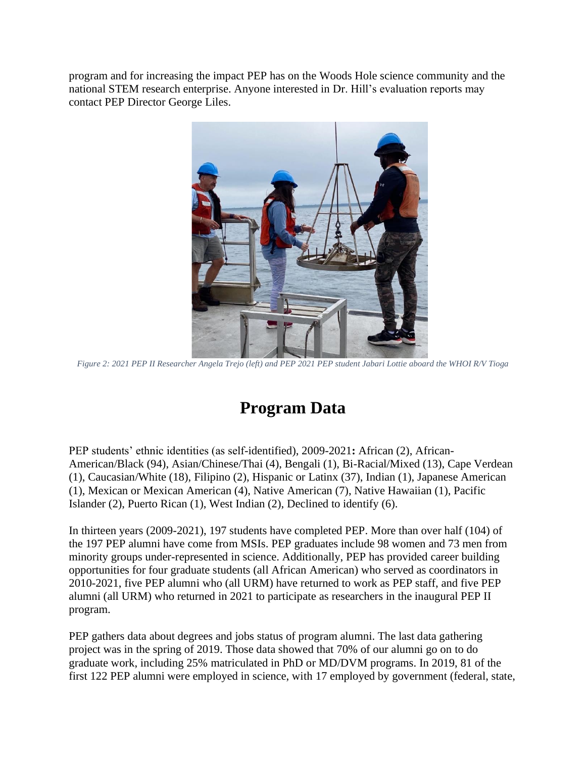program and for increasing the impact PEP has on the Woods Hole science community and the national STEM research enterprise. Anyone interested in Dr. Hill's evaluation reports may contact PEP Director George Liles.



*Figure 2: 2021 PEP II Researcher Angela Trejo (left) and PEP 2021 PEP student Jabari Lottie aboard the WHOI R/V Tioga*

## **Program Data**

PEP students' ethnic identities (as self-identified), 2009-2021**:** African (2), African-American/Black (94), Asian/Chinese/Thai (4), Bengali (1), Bi-Racial/Mixed (13), Cape Verdean (1), Caucasian/White (18), Filipino (2), Hispanic or Latinx (37), Indian (1), Japanese American (1), Mexican or Mexican American (4), Native American (7), Native Hawaiian (1), Pacific Islander (2), Puerto Rican (1), West Indian (2), Declined to identify (6).

In thirteen years (2009-2021), 197 students have completed PEP. More than over half (104) of the 197 PEP alumni have come from MSIs. PEP graduates include 98 women and 73 men from minority groups under-represented in science. Additionally, PEP has provided career building opportunities for four graduate students (all African American) who served as coordinators in 2010-2021, five PEP alumni who (all URM) have returned to work as PEP staff, and five PEP alumni (all URM) who returned in 2021 to participate as researchers in the inaugural PEP II program.

PEP gathers data about degrees and jobs status of program alumni. The last data gathering project was in the spring of 2019. Those data showed that 70% of our alumni go on to do graduate work, including 25% matriculated in PhD or MD/DVM programs. In 2019, 81 of the first 122 PEP alumni were employed in science, with 17 employed by government (federal, state,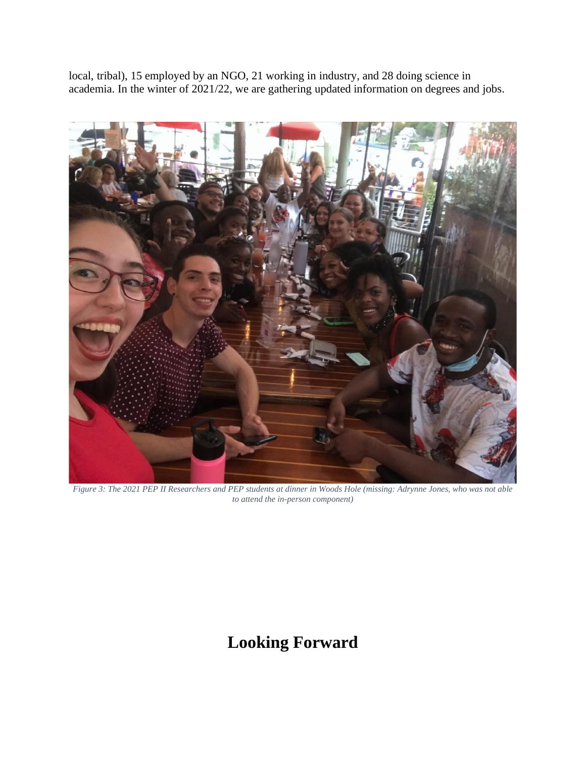local, tribal), 15 employed by an NGO, 21 working in industry, and 28 doing science in academia. In the winter of 2021/22, we are gathering updated information on degrees and jobs.



*Figure 3: The 2021 PEP II Researchers and PEP students at dinner in Woods Hole (missing: Adrynne Jones, who was not able to attend the in-person component)*

## **Looking Forward**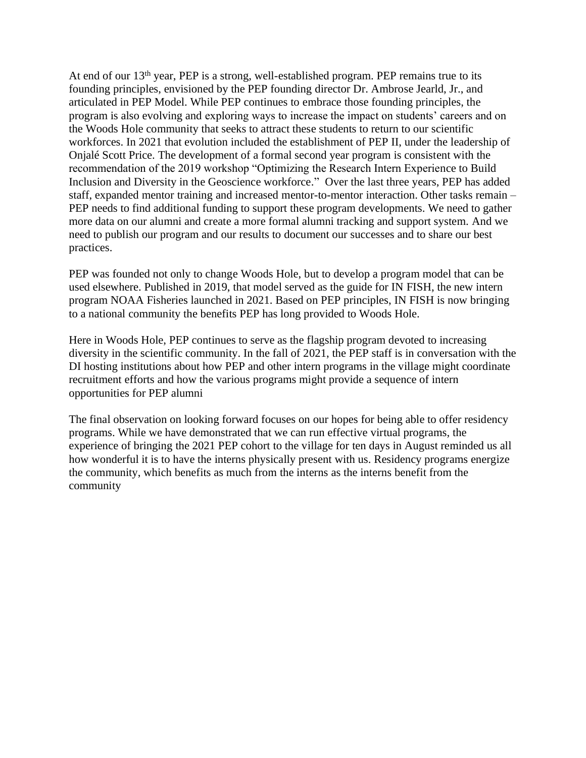At end of our  $13<sup>th</sup>$  year, PEP is a strong, well-established program. PEP remains true to its founding principles, envisioned by the PEP founding director Dr. Ambrose Jearld, Jr., and articulated in PEP Model. While PEP continues to embrace those founding principles, the program is also evolving and exploring ways to increase the impact on students' careers and on the Woods Hole community that seeks to attract these students to return to our scientific workforces. In 2021 that evolution included the establishment of PEP II, under the leadership of Onjalé Scott Price. The development of a formal second year program is consistent with the recommendation of the 2019 workshop "Optimizing the Research Intern Experience to Build Inclusion and Diversity in the Geoscience workforce." Over the last three years, PEP has added staff, expanded mentor training and increased mentor-to-mentor interaction. Other tasks remain – PEP needs to find additional funding to support these program developments. We need to gather more data on our alumni and create a more formal alumni tracking and support system. And we need to publish our program and our results to document our successes and to share our best practices.

PEP was founded not only to change Woods Hole, but to develop a program model that can be used elsewhere. Published in 2019, that model served as the guide for IN FISH, the new intern program NOAA Fisheries launched in 2021. Based on PEP principles, IN FISH is now bringing to a national community the benefits PEP has long provided to Woods Hole.

Here in Woods Hole, PEP continues to serve as the flagship program devoted to increasing diversity in the scientific community. In the fall of 2021, the PEP staff is in conversation with the DI hosting institutions about how PEP and other intern programs in the village might coordinate recruitment efforts and how the various programs might provide a sequence of intern opportunities for PEP alumni

The final observation on looking forward focuses on our hopes for being able to offer residency programs. While we have demonstrated that we can run effective virtual programs, the experience of bringing the 2021 PEP cohort to the village for ten days in August reminded us all how wonderful it is to have the interns physically present with us. Residency programs energize the community, which benefits as much from the interns as the interns benefit from the community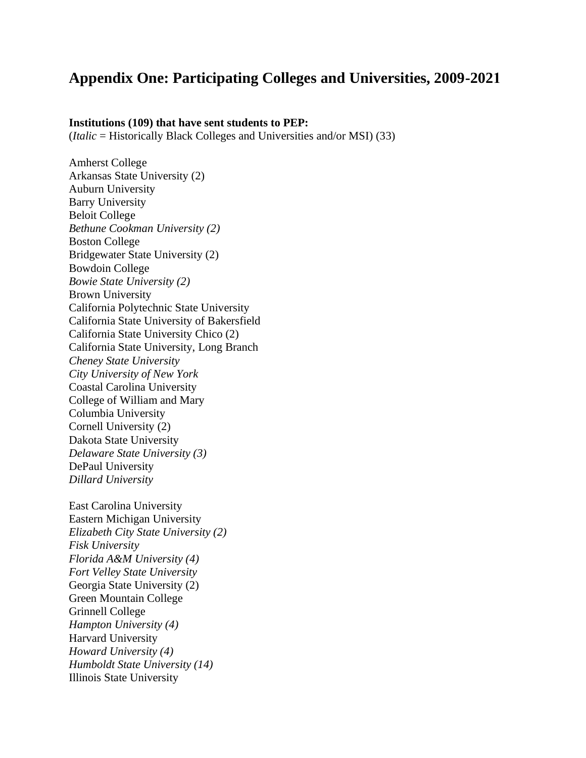### **Appendix One: Participating Colleges and Universities, 2009-2021**

#### **Institutions (109) that have sent students to PEP:**

(*Italic* = Historically Black Colleges and Universities and/or MSI) (33)

Amherst College Arkansas State University (2) Auburn University Barry University Beloit College *Bethune Cookman University (2)* Boston College Bridgewater State University (2) Bowdoin College *Bowie State University (2)* Brown University California Polytechnic State University California State University of Bakersfield California State University Chico (2) California State University, Long Branch *Cheney State University City University of New York* Coastal Carolina University College of William and Mary Columbia University Cornell University (2) Dakota State University *Delaware State University (3)* DePaul University *Dillard University* 

East Carolina University Eastern Michigan University *Elizabeth City State University (2) Fisk University Florida A&M University (4) Fort Velley State University* Georgia State University (2) Green Mountain College Grinnell College *Hampton University (4)* Harvard University *Howard University (4) Humboldt State University (14)* Illinois State University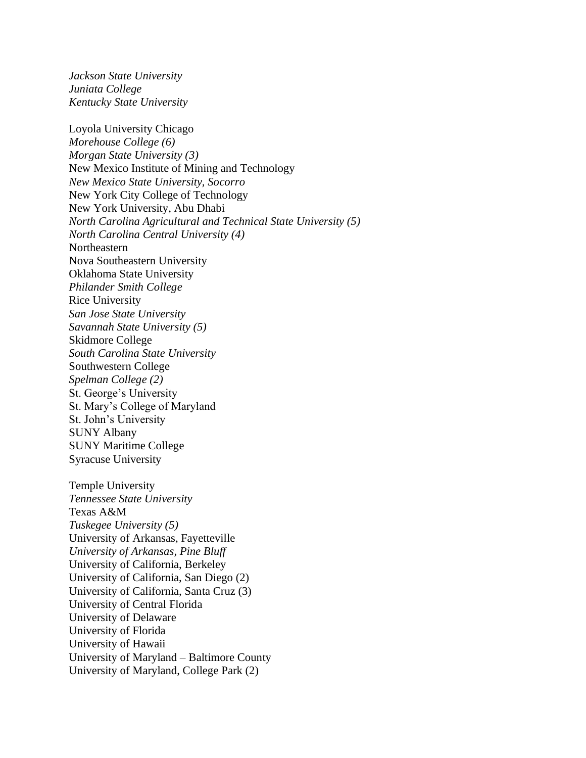*Jackson State University Juniata College Kentucky State University*

Loyola University Chicago *Morehouse College (6) Morgan State University (3)* New Mexico Institute of Mining and Technology *New Mexico State University, Socorro* New York City College of Technology New York University, Abu Dhabi *North Carolina Agricultural and Technical State University (5) North Carolina Central University (4)* Northeastern Nova Southeastern University Oklahoma State University *Philander Smith College* Rice University *San Jose State University Savannah State University (5)* Skidmore College *South Carolina State University* Southwestern College *Spelman College (2)* St. George's University St. Mary's College of Maryland St. John's University SUNY Albany SUNY Maritime College Syracuse University Temple University *Tennessee State University* Texas A&M *Tuskegee University (5)* University of Arkansas, Fayetteville *University of Arkansas, Pine Bluff* University of California, Berkeley University of California, San Diego (2) University of California, Santa Cruz (3) University of Central Florida University of Delaware University of Florida University of Hawaii University of Maryland – Baltimore County

University of Maryland, College Park (2)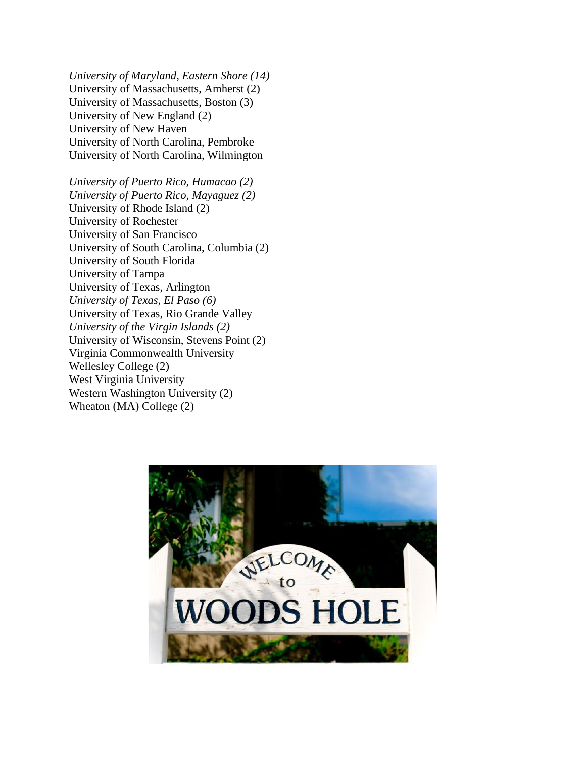*University of Maryland, Eastern Shore (14)* University of Massachusetts, Amherst (2) University of Massachusetts, Boston (3) University of New England (2) University of New Haven University of North Carolina, Pembroke University of North Carolina, Wilmington

*University of Puerto Rico, Humacao (2) University of Puerto Rico, Mayaguez (2)* University of Rhode Island (2) University of Rochester University of San Francisco University of South Carolina, Columbia (2) University of South Florida University of Tampa University of Texas, Arlington *University of Texas, El Paso (6)* University of Texas, Rio Grande Valley *University of the Virgin Islands (2)* University of Wisconsin, Stevens Point (2) Virginia Commonwealth University Wellesley College (2) West Virginia University Western Washington University (2) Wheaton (MA) College (2)

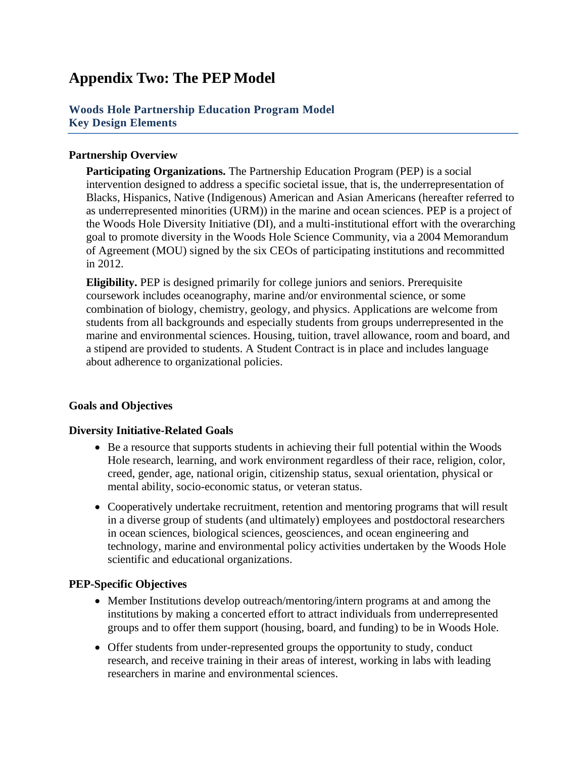### **Appendix Two: The PEP Model**

#### **Woods Hole Partnership Education Program Model Key Design Elements**

#### **Partnership Overview**

**Participating Organizations.** The Partnership Education Program (PEP) is a social intervention designed to address a specific societal issue, that is, the underrepresentation of Blacks, Hispanics, Native (Indigenous) American and Asian Americans (hereafter referred to as underrepresented minorities (URM)) in the marine and ocean sciences. PEP is a project of the Woods Hole Diversity Initiative (DI), and a multi-institutional effort with the overarching goal to promote diversity in the Woods Hole Science Community, via a 2004 Memorandum of Agreement (MOU) signed by the six CEOs of participating institutions and recommitted in 2012.

**Eligibility.** PEP is designed primarily for college juniors and seniors. Prerequisite coursework includes oceanography, marine and/or environmental science, or some combination of biology, chemistry, geology, and physics. Applications are welcome from students from all backgrounds and especially students from groups underrepresented in the marine and environmental sciences. Housing, tuition, travel allowance, room and board, and a stipend are provided to students. A Student Contract is in place and includes language about adherence to organizational policies.

#### **Goals and Objectives**

#### **Diversity Initiative-Related Goals**

- Be a resource that supports students in achieving their full potential within the Woods Hole research, learning, and work environment regardless of their race, religion, color, creed, gender, age, national origin, citizenship status, sexual orientation, physical or mental ability, socio-economic status, or veteran status.
- Cooperatively undertake recruitment, retention and mentoring programs that will result in a diverse group of students (and ultimately) employees and postdoctoral researchers in ocean sciences, biological sciences, geosciences, and ocean engineering and technology, marine and environmental policy activities undertaken by the Woods Hole scientific and educational organizations.

#### **PEP-Specific Objectives**

- Member Institutions develop outreach/mentoring/intern programs at and among the institutions by making a concerted effort to attract individuals from underrepresented groups and to offer them support (housing, board, and funding) to be in Woods Hole.
- Offer students from under-represented groups the opportunity to study, conduct research, and receive training in their areas of interest, working in labs with leading researchers in marine and environmental sciences.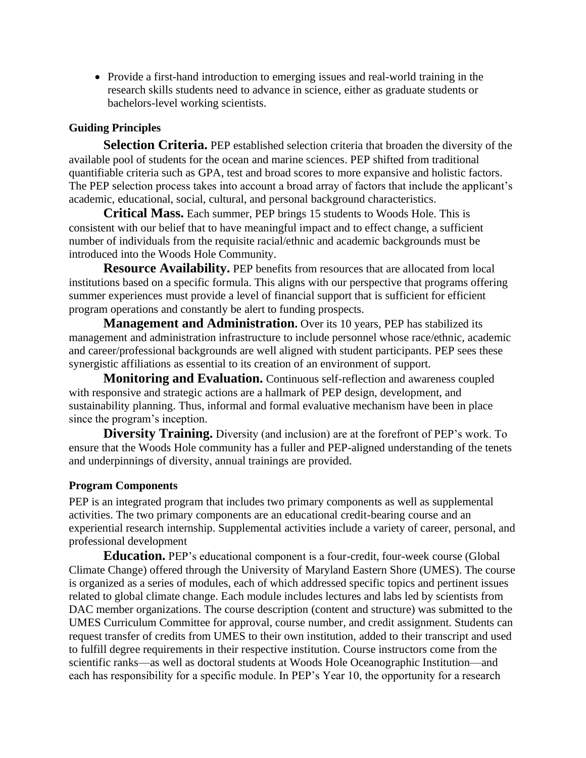• Provide a first-hand introduction to emerging issues and real-world training in the research skills students need to advance in science, either as graduate students or bachelors-level working scientists.

#### **Guiding Principles**

**Selection Criteria.** PEP established selection criteria that broaden the diversity of the available pool of students for the ocean and marine sciences. PEP shifted from traditional quantifiable criteria such as GPA, test and broad scores to more expansive and holistic factors. The PEP selection process takes into account a broad array of factors that include the applicant's academic, educational, social, cultural, and personal background characteristics.

**Critical Mass.** Each summer, PEP brings 15 students to Woods Hole. This is consistent with our belief that to have meaningful impact and to effect change, a sufficient number of individuals from the requisite racial/ethnic and academic backgrounds must be introduced into the Woods Hole Community.

**Resource Availability.** PEP benefits from resources that are allocated from local institutions based on a specific formula. This aligns with our perspective that programs offering summer experiences must provide a level of financial support that is sufficient for efficient program operations and constantly be alert to funding prospects.

**Management and Administration.** Over its 10 years, PEP has stabilized its management and administration infrastructure to include personnel whose race/ethnic, academic and career/professional backgrounds are well aligned with student participants. PEP sees these synergistic affiliations as essential to its creation of an environment of support.

**Monitoring and Evaluation.** Continuous self-reflection and awareness coupled with responsive and strategic actions are a hallmark of PEP design, development, and sustainability planning. Thus, informal and formal evaluative mechanism have been in place since the program's inception.

**Diversity Training.** Diversity (and inclusion) are at the forefront of PEP's work. To ensure that the Woods Hole community has a fuller and PEP-aligned understanding of the tenets and underpinnings of diversity, annual trainings are provided.

#### **Program Components**

PEP is an integrated program that includes two primary components as well as supplemental activities. The two primary components are an educational credit-bearing course and an experiential research internship. Supplemental activities include a variety of career, personal, and professional development

**Education.** PEP's educational component is a four-credit, four-week course (Global Climate Change) offered through the University of Maryland Eastern Shore (UMES). The course is organized as a series of modules, each of which addressed specific topics and pertinent issues related to global climate change. Each module includes lectures and labs led by scientists from DAC member organizations. The course description (content and structure) was submitted to the UMES Curriculum Committee for approval, course number, and credit assignment. Students can request transfer of credits from UMES to their own institution, added to their transcript and used to fulfill degree requirements in their respective institution. Course instructors come from the scientific ranks—as well as doctoral students at Woods Hole Oceanographic Institution—and each has responsibility for a specific module. In PEP's Year 10, the opportunity for a research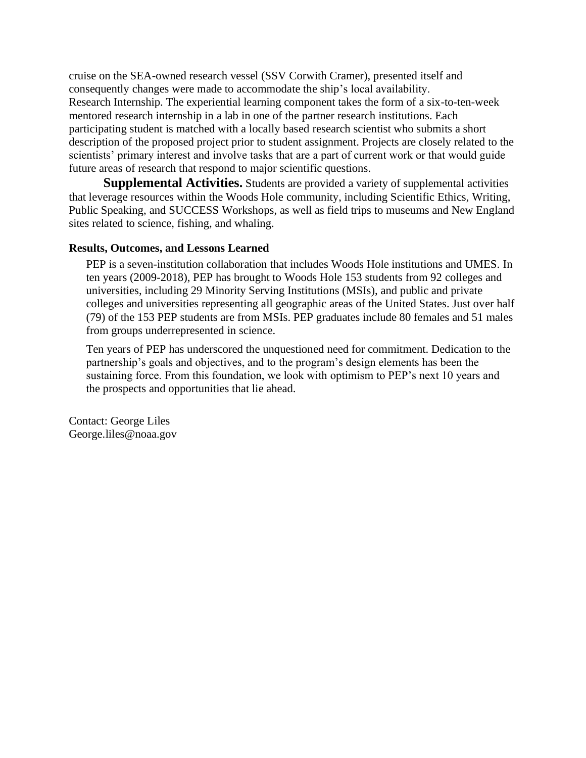cruise on the SEA-owned research vessel (SSV Corwith Cramer), presented itself and consequently changes were made to accommodate the ship's local availability. Research Internship. The experiential learning component takes the form of a six-to-ten-week mentored research internship in a lab in one of the partner research institutions. Each participating student is matched with a locally based research scientist who submits a short description of the proposed project prior to student assignment. Projects are closely related to the scientists' primary interest and involve tasks that are a part of current work or that would guide future areas of research that respond to major scientific questions.

**Supplemental Activities.** Students are provided a variety of supplemental activities that leverage resources within the Woods Hole community, including Scientific Ethics, Writing, Public Speaking, and SUCCESS Workshops, as well as field trips to museums and New England sites related to science, fishing, and whaling.

#### **Results, Outcomes, and Lessons Learned**

PEP is a seven-institution collaboration that includes Woods Hole institutions and UMES. In ten years (2009-2018), PEP has brought to Woods Hole 153 students from 92 colleges and universities, including 29 Minority Serving Institutions (MSIs), and public and private colleges and universities representing all geographic areas of the United States. Just over half (79) of the 153 PEP students are from MSIs. PEP graduates include 80 females and 51 males from groups underrepresented in science.

Ten years of PEP has underscored the unquestioned need for commitment. Dedication to the partnership's goals and objectives, and to the program's design elements has been the sustaining force. From this foundation, we look with optimism to PEP's next 10 years and the prospects and opportunities that lie ahead.

Contact: George Liles George.liles@noaa.gov